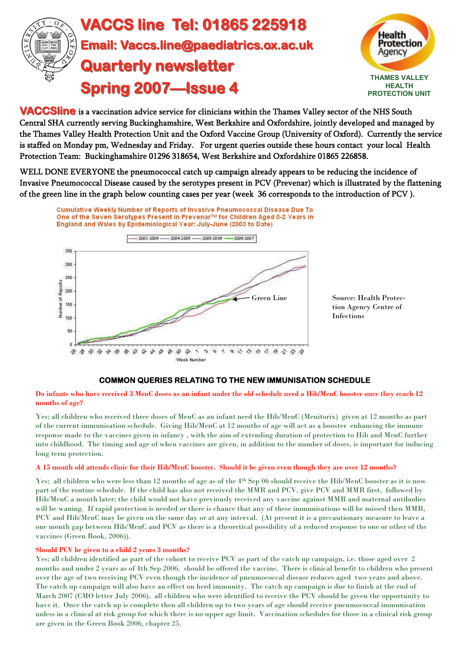



**VACCSline** is a vaccination advice service for clinicians within the Thames Valley sector of the NHS South Central SHA currently serving Buckinghamshire, West Berkshire and Oxfordshire, jointly developed and managed by the Thames Valley Health Protection Unit and the Oxford Vaccine Group (University of Oxford). Currently the service is staffed on Monday pm, Wednesday and Friday. For urgent queries outside these hours contact your local Health Protection Team: Buckinghamshire 01296 318654, West Berkshire and Oxfordshire 01865 226858.

WELL DONE EVERYONE the pneumococcal catch up campaign already appears to be reducing the incidence of Invasive Pneumococcal Disease caused by the serotypes present in PCV (Prevenar) which is illustrated by the flattening of the green line in the graph below counting cases per year (week 36 corresponds to the introduction of PCV ).



Source: Health Protection Agency Centre of Infections

#### **COMMON QUERIES RELATING TO THE NEW IMMUNISATION SCHEDULE**

**Do infants who have received 3 MenC doses as an infant under the old schedule need a Hib/MenC booster once they reach 12 months of age?** 

Yes; all children who received three doses of MenC as an infant need the Hib/MenC (Menitorix) given at 12 months as part of the current immunisation schedule. Giving Hib/MenC at 12 months of age will act as a booster enhancing the immune response made to the vaccines given in infancy , with the aim of extending duration of protection to Hib and MenC further into childhood. The timing and age of when vaccines are given, in addition to the number of doses, is important for inducing long term protection.

#### **A 15 month old attends clinic for their Hib/MenC booster. Should it be given even though they are over 12 months?**

Yes; all children who were less than 12 months of age as of the 4th Sep 06 should receive the Hib/MenC booster as it is now part of the routine schedule. If the child has also not received the MMR and PCV, give PCV and MMR first, followed by Hib/MenC a month later; the child would not have previously received any vaccine against MMR and maternal antibodies will be waning. If rapid protection is needed or there is chance that any of these immunisations will be missed then MMR, PCV and Hib/MenC may be given on the same day or at any interval. (At present it is a precautionary measure to leave a one month gap between Hib/MenC and PCV as there is a theoretical possibility of a reduced response to one or other of the vaccines (Green Book, 2006)).

#### **Should PCV be given to a child 2 years 3 months?**

Yes; all children identified as part of the cohort to receive PCV as part of the catch up campaign, i.e. those aged over 2 months and under 2 years as of 4th Sep 2006, should be offered the vaccine. There is clinical benefit to children who present over the age of two receiving PCV even though the incidence of pneumococcal disease reduces aged two years and above. The catch up campaign will also have an effect on herd immunity. The catch up campaign is due to finish at the end of March 2007 (CMO letter July 2006), all children who were identified to receive the PCV should be given the opportunity to have it. Once the catch up is complete then all children up to two years of age should receive pneumococcal immunisation unless in a clinical at risk group for which there is no upper age limit. Vaccination schedules for those in a clinical risk group are given in the Green Book 2006, chapter 25.